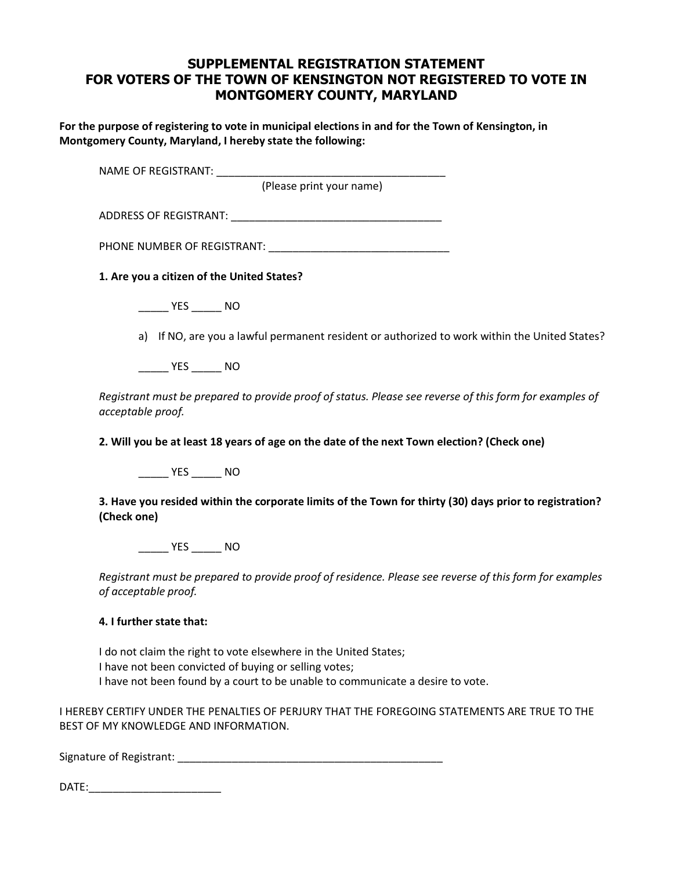## **SUPPLEMENTAL REGISTRATION STATEMENT FOR VOTERS OF THE TOWN OF KENSINGTON NOT REGISTERED TO VOTE IN MONTGOMERY COUNTY, MARYLAND**

**For the purpose of registering to vote in municipal elections in and for the Town of Kensington, in Montgomery County, Maryland, I hereby state the following:** 

| NAME OF REGISTRANT: NAME OF REGISTRANT:    |                                                                                                         |
|--------------------------------------------|---------------------------------------------------------------------------------------------------------|
|                                            | (Please print your name)                                                                                |
|                                            |                                                                                                         |
|                                            |                                                                                                         |
| 1. Are you a citizen of the United States? |                                                                                                         |
| $\frac{1}{2}$ YES _________ NO             |                                                                                                         |
|                                            | a) If NO, are you a lawful permanent resident or authorized to work within the United States?           |
| NO <sub>N</sub>                            |                                                                                                         |
| acceptable proof.                          | Registrant must be prepared to provide proof of status. Please see reverse of this form for examples of |
|                                            | 2. Will you be at least 18 years of age on the date of the next Town election? (Check one)              |
| $\rule{1em}{0.15mm}$ YES ________ NO       |                                                                                                         |
|                                            | 3. Have you resided within the corporate limits of the Town for thirty (30) days prior to registration? |

\_\_\_\_\_ YES \_\_\_\_\_ NO

*Registrant must be prepared to provide proof of residence. Please see reverse of this form for examples of acceptable proof.* 

## **4. I further state that:**

**(Check one)** 

I do not claim the right to vote elsewhere in the United States; I have not been convicted of buying or selling votes; I have not been found by a court to be unable to communicate a desire to vote.

I HEREBY CERTIFY UNDER THE PENALTIES OF PERJURY THAT THE FOREGOING STATEMENTS ARE TRUE TO THE BEST OF MY KNOWLEDGE AND INFORMATION.

Signature of Registrant: \_\_\_\_\_\_\_\_\_\_\_\_\_\_\_\_\_\_\_\_\_\_\_\_\_\_\_\_\_\_\_\_\_\_\_\_\_\_\_\_\_\_\_\_

DATE:\_\_\_\_\_\_\_\_\_\_\_\_\_\_\_\_\_\_\_\_\_\_